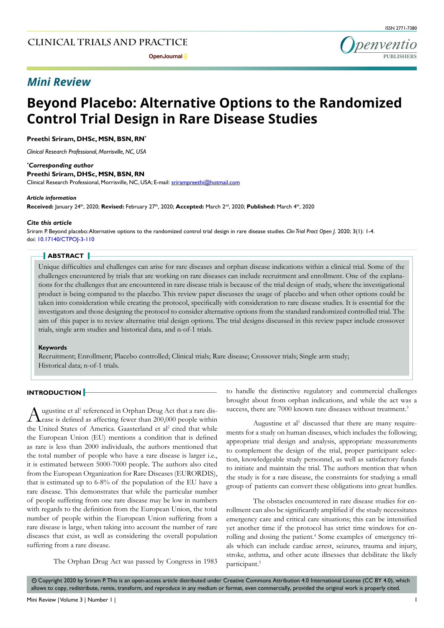## *Mini Review*



# **Beyond Placebo: Alternative Options to the Randomized Control Trial Design in Rare Disease Studies**

### **Preethi Sriram, DHSc, MSN, BSN, RN\***

*Clinical Research Professional, Morrisville, NC, USA*

#### *\* Corresponding author*

**Preethi Sriram, DHSc, MSN, BSN, RN**

Clinical Research Professional, Morrisville, NC, USA; E-mail: srirampreethi@hotmail.com

#### *Article information*

**Received:** January 24th, 2020; **Revised:** February 27th, 2020; **Accepted:** March 2nd, 2020; **Published:** March 4th, 2020

#### *Cite this article*

Sriram P. Beyond placebo: Alternative options to the randomized control trial design in rare disease studies. *Clin Trial Pract Open J*. 2020; 3(1): 1-4. doi: [10.17140/CTPOJ-3-110](http://dx.doi.org/10.17140/CTPOJ-3-110)

#### **ABSTRACT**

Unique difficulties and challenges can arise for rare diseases and orphan disease indications within a clinical trial. Some of the challenges encountered by trials that are working on rare diseases can include recruitment and enrollment. One of the explanations for the challenges that are encountered in rare disease trials is because of the trial design of study, where the investigational product is being compared to the placebo. This review paper discusses the usage of placebo and when other options could be taken into consideration while creating the protocol, specifically with consideration to rare disease studies. It is essential for the investigators and those designing the protocol to consider alternative options from the standard randomized controlled trial. The aim of this paper is to review alternative trial design options. The trial designs discussed in this review paper include crossover trials, single arm studies and historical data, and n-of-1 trials.

#### **Keywords**

Recruitment; Enrollment; Placebo controlled; Clinical trials; Rare disease; Crossover trials; Single arm study; Historical data; n-of-1 trials.

## **INTRODUCTION**

Augustine et al<sup>1</sup> referenced in Orphan Drug Act that a rare dis-<br>Lease is defined as affecting fewer than 200,000 people within ugustine et al<sup>1</sup> referenced in Orphan Drug Act that a rare dis-the United States of America. Gaasterland et al<sup>[2](#page-2-1)</sup> cited that while the European Union (EU) mentions a condition that is defined as rare is less than 2000 individuals, the authors mentioned that the total number of people who have a rare disease is larger i.e., it is estimated between 5000-7000 people. The authors also cited from the European Organization for Rare Diseases (EURORDIS), that is estimated up to 6-8% of the population of the EU have a rare disease. This demonstrates that while the particular number of people suffering from one rare disease may be low in numbers with regards to the definition from the European Union, the total number of people within the European Union suffering from a rare disease is large, when taking into account the number of rare diseases that exist, as well as considering the overall population suffering from a rare disease.

The Orphan Drug Act was passed by Congress in 1983

to handle the distinctive regulatory and commercial challenges brought about from orphan indications, and while the act was a success, there are 7000 known rare diseases without treatment.<sup>3</sup>

Augustine et al<sup>[1](#page-2-0)</sup> discussed that there are many requirements for a study on human diseases, which includes the following; appropriate trial design and analysis, appropriate measurements to complement the design of the trial, proper participant selection, knowledgeable study personnel, as well as satisfactory funds to initiate and maintain the trial. The authors mention that when the study is for a rare disease, the constraints for studying a small group of patients can convert these obligations into great hurdles.

The obstacles encountered in rare disease studies for enrollment can also be significantly amplified if the study necessitates emergency care and critical care situations; this can be intensified yet another time if the protocol has strict time windows for en-rolling and dosing the patient.<sup>[4](#page-2-3)</sup> Some examples of emergency trials which can include cardiac arrest, seizures, trauma and injury, stroke, asthma, and other acute illnesses that debilitate the likely participant.<sup>5</sup>

 $\odot$  Copyright 2020 by Sriram P. This is an open-access article distributed under Creative Commons Attribution 4.0 International License (CC BY 4.0), which allows to copy, redistribute, remix, transform, and reproduce in any medium or format, even commercially, provided the original work is properly cited.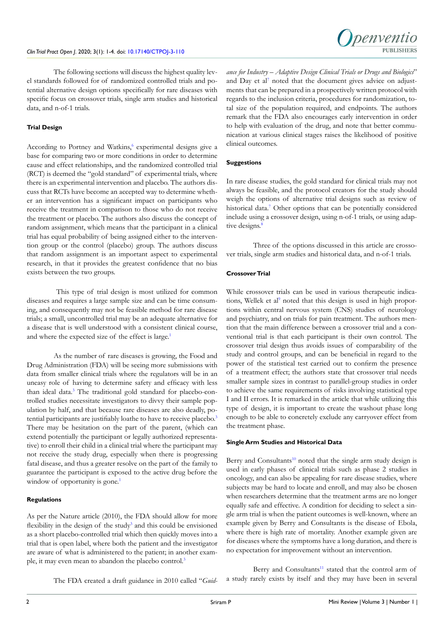The following sections will discuss the highest quality level standards followed for of randomized controlled trials and potential alternative design options specifically for rare diseases with specific focus on crossover trials, single arm studies and historical data, and n-of-1 trials.

## **Trial Design**

According to Portney and Watkins,<sup>6</sup> experimental designs give a base for comparing two or more conditions in order to determine cause and effect relationships, and the randomized controlled trial (RCT) is deemed the "gold standard" of experimental trials, where there is an experimental intervention and placebo. The authors discuss that RCTs have become an accepted way to determine whether an intervention has a significant impact on participants who receive the treatment in comparison to those who do not receive the treatment or placebo. The authors also discuss the concept of random assignment, which means that the participant in a clinical trial has equal probability of being assigned either to the intervention group or the control (placebo) group. The authors discuss that random assignment is an important aspect to experimental research, in that it provides the greatest confidence that no bias exists between the two groups.

 This type of trial design is most utilized for common diseases and requires a large sample size and can be time consuming, and consequently may not be feasible method for rare disease trials; a small, uncontrolled trial may be an adequate alternative for a disease that is well understood with a consistent clinical course, and where the expected size of the effect is large.<sup>1</sup>

As the number of rare diseases is growing, the Food and Drug Administration (FDA) will be seeing more submissions with data from smaller clinical trials where the regulators will be in an uneasy role of having to determine safety and efficacy with less than ideal data[.3](#page-2-2) The traditional gold standard for placebo-controlled studies necessitate investigators to divvy their sample population by half, and that because rare diseases are also deadly, po-tential participants are justifiably loathe to have to receive placebo.<sup>[3](#page-2-2)</sup> There may be hesitation on the part of the parent, (which can extend potentially the participant or legally authorized representative) to enroll their child in a clinical trial where the participant may not receive the study drug, especially when there is progressing fatal disease, and thus a greater resolve on the part of the family to guarantee the participant is exposed to the active drug before the window of opportunity is gone.<sup>[1](#page-2-0)</sup>

## **Regulations**

As per the Nature article (2010), the FDA should allow for more flexibility in the design of the study<sup>[3](#page-2-2)</sup> and this could be envisioned as a short placebo-controlled trial which then quickly moves into a trial that is open label, where both the patient and the investigator are aware of what is administered to the patient; in another example, it may even mean to abandon the placebo control.<sup>3</sup>

The FDA created a draft guidance in 2010 called "*Guid-*

*ance for Industry – Adaptive Design Clinical Trials or Drugs and Biologics*" and Day et al<sup>7</sup> noted that the document gives advice on adjustments that can be prepared in a prospectively written protocol with regards to the inclusion criteria, procedures for randomization, total size of the population required, and endpoints. The authors remark that the FDA also encourages early intervention in order to help with evaluation of the drug, and note that better communication at various clinical stages raises the likelihood of positive clinical outcomes.

## **Suggestions**

In rare disease studies, the gold standard for clinical trials may not always be feasible, and the protocol creators for the study should weigh the options of alternative trial designs such as review of historical data.<sup>7</sup> Other options that can be potentially considered include using a crossover design, using n-of-1 trials, or using adaptive designs.<sup>8</sup>

Three of the options discussed in this article are crossover trials, single arm studies and historical data, and n-of-1 trials.

## **Crossover Trial**

While crossover trials can be used in various therapeutic indications, Wellek et al<sup>9</sup> noted that this design is used in high proportions within central nervous system (CNS) studies of neurology and psychiatry, and on trials for pain treatment. The authors mention that the main difference between a crossover trial and a conventional trial is that each participant is their own control. The crossover trial design thus avoids issues of comparability of the study and control groups, and can be beneficial in regard to the power of the statistical test carried out to confirm the presence of a treatment effect; the authors state that crossover trial needs smaller sample sizes in contrast to parallel-group studies in order to achieve the same requirements of risks involving statistical type I and II errors. It is remarked in the article that while utilizing this type of design, it is important to create the washout phase long enough to be able to concretely exclude any carryover effect from the treatment phase.

## **Single Arm Studies and Historical Data**

Berry and Consultants<sup>[10](#page-3-0)</sup> noted that the single arm study design is used in early phases of clinical trials such as phase 2 studies in oncology, and can also be appealing for rare disease studies, where subjects may be hard to locate and enroll, and may also be chosen when researchers determine that the treatment arms are no longer equally safe and effective. A condition for deciding to select a single arm trial is when the patient outcomes is well-known, where an example given by Berry and Consultants is the disease of Ebola, where there is high rate of mortality. Another example given are for diseases where the symptoms have a long duration, and there is no expectation for improvement without an intervention.

Berry and Consultants<sup>[11](#page-3-1)</sup> stated that the control arm of a study rarely exists by itself and they may have been in several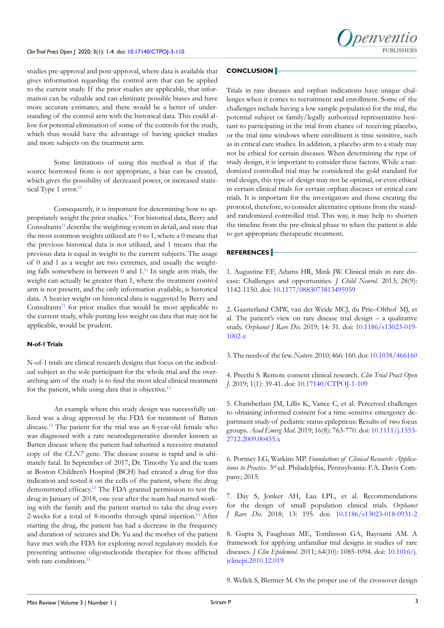

studies pre-approval and post-approval, where data is available that gives information regarding the control arm that can be applied to the current study. If the prior studies are applicable, that information can be valuable and can eliminate possible biases and have more accurate estimates, and there would be a better of understanding of the control arm with the historical data. This could allow for potential elimination of some of the controls for the study, which thus would have the advantage of having quicker studies and more subjects on the treatment arm.

Some limitations of using this method is that if the source borrowed from is not appropriate, a bias can be created, which gives the possibility of decreased power, or increased statistical Type 1 error.<sup>11</sup>

Consequently, it is important for determining how to appropriately weight the prior studies[.11](#page-3-1) For historical data, Berry and Consultants<sup>11</sup> describe the weighting system in detail, and state that the most common weights utilized are 0 to 1, where a 0 means that the previous historical data is not utilized, and 1 means that the previous data is equal in weight to the current subjects. The usage of 0 and 1 as a weight are two extremes, and usually the weighting falls somewhere in between 0 and 1[.11](#page-3-1) In single arm trials, the weight can actually be greater than 1, where the treatment control arm is not present, and the only information available, is historical data. A heavier weight on historical data is suggested by Berry and Consultants<sup>11</sup> for prior studies that would be most applicable to the current study, while putting less weight on data that may not be applicable, would be prudent.

### **N-of-1 Trials**

N-of-1 trials are clinical research designs that focus on the individual subject as the sole participant for the whole trial and the overarching aim of the study is to find the most ideal clinical treatment for the patient, while using data that is objective.<sup>12</sup>

An example where this study design was successfully utilized was a drug approved by the FDA for treatment of Batten disease[.13](#page-3-3) The patient for the trial was an 8-year-old female who was diagnosed with a rare neurodegenerative disorder known as Batten disease where the patient had inherited a recessive mutated copy of the *CLN7* gene. The disease course is rapid and is ultimately fatal. In September of 2017, Dr. Timothy Yu and the team at Boston Children's Hospital (BCH) had created a drug for this indication and tested it on the cells of the patient, where the drug demonstrated efficacy.<sup>13</sup> The FDA granted permission to test the drug in January of 2018, one year after the team had started working with the family and the patient started to take the drug every 2-weeks for a total of 8-months through spinal injection.<sup>[13](#page-3-3)</sup> After starting the drug, the patient has had a decrease in the frequency and duration of seizures and Dr. Yu and the mother of the patient have met with the FDA for exploring novel regulatory models for presenting antisense oligonucleotide therapies for those afflicted with rare conditions.<sup>[13](#page-3-3)</sup>

## **CONCLUSION**

Trials in rare diseases and orphan indications have unique challenges when it comes to recruitment and enrollment. Some of the challenges include having a low sample population for the trial, the potential subject or family/legally authorized representative hesitant to participating in the trial from chance of receiving placebo, or the trial time windows where enrollment is time sensitive, such as in critical care studies. In addition, a placebo arm to a study may not be ethical for certain diseases. When determining the type of study design, it is important to consider these factors. While a randomized controlled trial may be considered the gold standard for trial design, this type of design may not be optimal, or even ethical in certain clinical trials for certain orphan diseases or critical care trials. It is important for the investigators and those creating the protocol, therefore, to consider alternative options from the standard randomized controlled trial. This way, it may help to shorten the timeline from the pre-clinical phase to when the patient is able to get appropriate therapeutic treatment.

#### **REFERENCES**

<span id="page-2-0"></span>1. Augustine EF, Adams HR, Mink JW. Clinical trials in rare disease: Challenges and opportunities. *J Child Neurol.* 2013; 28(9): 1142-1150. doi: [10.1177/0883073813495959](https://doi.org/10.1177/0883073813495959)

<span id="page-2-1"></span>2. Gaasterland CMW, van der Weide MCJ, du Prie–Olthof MJ, et al. The patient's view on rare disease trial design  $-$  a qualitative study. *Orphanet J Rare Dis.* 2019; 14: 31. doi: [10.1186/s13023-019-](https://doi.org/10.1186/s13023-019-1002-z) [1002-z](https://doi.org/10.1186/s13023-019-1002-z)

<span id="page-2-2"></span>3. The needs of the few. *Nature*. 2010; 466: 160. doi: [10.1038/466160](https://doi.org/10.1038/466160)

<span id="page-2-3"></span>4. Preethi S. Remote consent clinical research. *Clin Trial Pract Open J*. 2019; 1(1): 39-41. doi: [10.17140/CTPOJ-1-109](https://doi.org/10.17140/CTPOJ-1-109)

<span id="page-2-4"></span>5. Chamberlain JM, Lillis K, Vance C, et al. Perceived challenges to obtaining informed consent for a time-sensitive emergency department study of pediatric status epilepticus: Results of two focus groups. *Acad Emerg Med*. 2019; 16(8): 763-770. doi: [10.1111/j.1553-](https://doi.org/10.1111/j.1553-2712.2009.00455.x) [2712.2009.00455.x](https://doi.org/10.1111/j.1553-2712.2009.00455.x)

<span id="page-2-5"></span>6. Portney LG, Watkins MP. *Foundations of Clinical Research: Applications to Practice.* 3rd ed. Philadelphia, Pennsylvania: F.A. Davis Company; 2015.

<span id="page-2-6"></span>7. Day S, Jonker AH, Lau LPL, et al. Recommendations for the design of small population clinical trials. *Orphanet J Rare Dis.* 2018; 13: 195. doi: [10.1186/s13023-018-0931-2](https://doi.org/10.1186/s13023-018-0931-2)

<span id="page-2-7"></span>8. Gupta S, Faughnan ME, Tomlinson GA, Bayoumi AM. A framework for applying unfamiliar trial designs in studies of rare diseases. *J Clin Epidemiol*. 2011; 64(10): 1085-1094. doi: [10.1016/j.](https://doi.org/10.1016/j.jclinepi.2010.12.019) [jclinepi.2010.12.019](https://doi.org/10.1016/j.jclinepi.2010.12.019)

<span id="page-2-8"></span>9. Wellek S, Blettner M. On the proper use of the crossover design